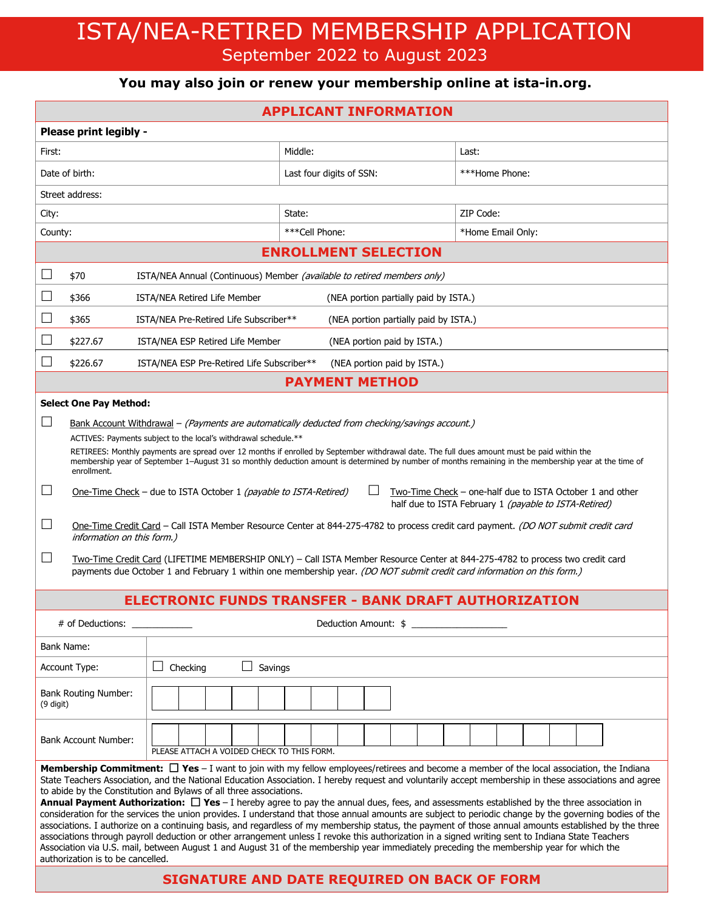# ISTA/NEA-RETIRED MEMBERSHIP APPLICATION September 2022 to August 2023

# **You may also join or renew your membership online at ista-in.org.**

| <b>APPLICANT INFORMATION</b>                                                                                                                                                                                                                                                                                                                                                                                                                                                                                                                                                                                                                                                                                                                                                                                                                                                                                                                                                                                                                                                                                                                                                                  |                                                                                 |                                                                           |                                       |         |                                       |           |                   |  |  |  |
|-----------------------------------------------------------------------------------------------------------------------------------------------------------------------------------------------------------------------------------------------------------------------------------------------------------------------------------------------------------------------------------------------------------------------------------------------------------------------------------------------------------------------------------------------------------------------------------------------------------------------------------------------------------------------------------------------------------------------------------------------------------------------------------------------------------------------------------------------------------------------------------------------------------------------------------------------------------------------------------------------------------------------------------------------------------------------------------------------------------------------------------------------------------------------------------------------|---------------------------------------------------------------------------------|---------------------------------------------------------------------------|---------------------------------------|---------|---------------------------------------|-----------|-------------------|--|--|--|
| Please print legibly -                                                                                                                                                                                                                                                                                                                                                                                                                                                                                                                                                                                                                                                                                                                                                                                                                                                                                                                                                                                                                                                                                                                                                                        |                                                                                 |                                                                           |                                       |         |                                       |           |                   |  |  |  |
| First:                                                                                                                                                                                                                                                                                                                                                                                                                                                                                                                                                                                                                                                                                                                                                                                                                                                                                                                                                                                                                                                                                                                                                                                        |                                                                                 |                                                                           |                                       | Middle: |                                       |           | Last:             |  |  |  |
| Date of birth:                                                                                                                                                                                                                                                                                                                                                                                                                                                                                                                                                                                                                                                                                                                                                                                                                                                                                                                                                                                                                                                                                                                                                                                |                                                                                 |                                                                           | Last four digits of SSN:              |         |                                       |           | ***Home Phone:    |  |  |  |
| Street address:                                                                                                                                                                                                                                                                                                                                                                                                                                                                                                                                                                                                                                                                                                                                                                                                                                                                                                                                                                                                                                                                                                                                                                               |                                                                                 |                                                                           |                                       |         |                                       |           |                   |  |  |  |
| City:                                                                                                                                                                                                                                                                                                                                                                                                                                                                                                                                                                                                                                                                                                                                                                                                                                                                                                                                                                                                                                                                                                                                                                                         |                                                                                 |                                                                           | State:                                |         |                                       | ZIP Code: |                   |  |  |  |
| County:                                                                                                                                                                                                                                                                                                                                                                                                                                                                                                                                                                                                                                                                                                                                                                                                                                                                                                                                                                                                                                                                                                                                                                                       |                                                                                 |                                                                           | ***Cell Phone:                        |         |                                       |           | *Home Email Only: |  |  |  |
| <b>ENROLLMENT SELECTION</b>                                                                                                                                                                                                                                                                                                                                                                                                                                                                                                                                                                                                                                                                                                                                                                                                                                                                                                                                                                                                                                                                                                                                                                   |                                                                                 |                                                                           |                                       |         |                                       |           |                   |  |  |  |
|                                                                                                                                                                                                                                                                                                                                                                                                                                                                                                                                                                                                                                                                                                                                                                                                                                                                                                                                                                                                                                                                                                                                                                                               | \$70<br>ISTA/NEA Annual (Continuous) Member (available to retired members only) |                                                                           |                                       |         |                                       |           |                   |  |  |  |
|                                                                                                                                                                                                                                                                                                                                                                                                                                                                                                                                                                                                                                                                                                                                                                                                                                                                                                                                                                                                                                                                                                                                                                                               | \$366                                                                           | ISTA/NEA Retired Life Member                                              |                                       |         | (NEA portion partially paid by ISTA.) |           |                   |  |  |  |
| ⊔                                                                                                                                                                                                                                                                                                                                                                                                                                                                                                                                                                                                                                                                                                                                                                                                                                                                                                                                                                                                                                                                                                                                                                                             | \$365                                                                           | ISTA/NEA Pre-Retired Life Subscriber**                                    | (NEA portion partially paid by ISTA.) |         |                                       |           |                   |  |  |  |
| $\Box$                                                                                                                                                                                                                                                                                                                                                                                                                                                                                                                                                                                                                                                                                                                                                                                                                                                                                                                                                                                                                                                                                                                                                                                        | \$227.67                                                                        | ISTA/NEA ESP Retired Life Member                                          |                                       |         | (NEA portion paid by ISTA.)           |           |                   |  |  |  |
|                                                                                                                                                                                                                                                                                                                                                                                                                                                                                                                                                                                                                                                                                                                                                                                                                                                                                                                                                                                                                                                                                                                                                                                               | \$226.67                                                                        | ISTA/NEA ESP Pre-Retired Life Subscriber**<br>(NEA portion paid by ISTA.) |                                       |         |                                       |           |                   |  |  |  |
| <b>PAYMENT METHOD</b>                                                                                                                                                                                                                                                                                                                                                                                                                                                                                                                                                                                                                                                                                                                                                                                                                                                                                                                                                                                                                                                                                                                                                                         |                                                                                 |                                                                           |                                       |         |                                       |           |                   |  |  |  |
| <b>Select One Pay Method:</b>                                                                                                                                                                                                                                                                                                                                                                                                                                                                                                                                                                                                                                                                                                                                                                                                                                                                                                                                                                                                                                                                                                                                                                 |                                                                                 |                                                                           |                                       |         |                                       |           |                   |  |  |  |
| ப<br>Bank Account Withdrawal – (Payments are automatically deducted from checking/savings account.)<br>ACTIVES: Payments subject to the local's withdrawal schedule.**<br>RETIREES: Monthly payments are spread over 12 months if enrolled by September withdrawal date. The full dues amount must be paid within the<br>membership year of September 1-August 31 so monthly deduction amount is determined by number of months remaining in the membership year at the time of<br>enrollment.<br>Two-Time Check – one-half due to ISTA October 1 and other<br>ப<br><u>One-Time Check</u> – due to ISTA October 1 (payable to ISTA-Retired)<br>half due to ISTA February 1 (payable to ISTA-Retired)<br>ப<br>One-Time Credit Card - Call ISTA Member Resource Center at 844-275-4782 to process credit card payment. (DO NOT submit credit card<br>information on this form.)<br>$\Box$<br>Two-Time Credit Card (LIFETIME MEMBERSHIP ONLY) - Call ISTA Member Resource Center at 844-275-4782 to process two credit card<br>payments due October 1 and February 1 within one membership year. (DO NOT submit credit card information on this form.)                                           |                                                                                 |                                                                           |                                       |         |                                       |           |                   |  |  |  |
| <b>ELECTRONIC FUNDS TRANSFER - BANK DRAFT AUTHORIZATION</b>                                                                                                                                                                                                                                                                                                                                                                                                                                                                                                                                                                                                                                                                                                                                                                                                                                                                                                                                                                                                                                                                                                                                   |                                                                                 |                                                                           |                                       |         |                                       |           |                   |  |  |  |
| # of Deductions:<br>Deduction Amount: \$                                                                                                                                                                                                                                                                                                                                                                                                                                                                                                                                                                                                                                                                                                                                                                                                                                                                                                                                                                                                                                                                                                                                                      |                                                                                 |                                                                           |                                       |         |                                       |           |                   |  |  |  |
| <b>Bank Name:</b>                                                                                                                                                                                                                                                                                                                                                                                                                                                                                                                                                                                                                                                                                                                                                                                                                                                                                                                                                                                                                                                                                                                                                                             |                                                                                 |                                                                           |                                       |         |                                       |           |                   |  |  |  |
| Account Type:<br>Checking<br>Savings                                                                                                                                                                                                                                                                                                                                                                                                                                                                                                                                                                                                                                                                                                                                                                                                                                                                                                                                                                                                                                                                                                                                                          |                                                                                 |                                                                           |                                       |         |                                       |           |                   |  |  |  |
| <b>Bank Routing Number:</b><br>$(9$ digit)                                                                                                                                                                                                                                                                                                                                                                                                                                                                                                                                                                                                                                                                                                                                                                                                                                                                                                                                                                                                                                                                                                                                                    |                                                                                 |                                                                           |                                       |         |                                       |           |                   |  |  |  |
| <b>Bank Account Number:</b>                                                                                                                                                                                                                                                                                                                                                                                                                                                                                                                                                                                                                                                                                                                                                                                                                                                                                                                                                                                                                                                                                                                                                                   |                                                                                 | PLEASE ATTACH A VOIDED CHECK TO THIS FORM.                                |                                       |         |                                       |           |                   |  |  |  |
| <b>Membership Commitment:</b> $\Box$ Yes - I want to join with my fellow employees/retirees and become a member of the local association, the Indiana<br>State Teachers Association, and the National Education Association. I hereby request and voluntarily accept membership in these associations and agree<br>to abide by the Constitution and Bylaws of all three associations.<br>Annual Payment Authorization: □ Yes - I hereby agree to pay the annual dues, fees, and assessments established by the three association in<br>consideration for the services the union provides. I understand that those annual amounts are subject to periodic change by the governing bodies of the<br>associations. I authorize on a continuing basis, and regardless of my membership status, the payment of those annual amounts established by the three<br>associations through payroll deduction or other arrangement unless I revoke this authorization in a signed writing sent to Indiana State Teachers<br>Association via U.S. mail, between August 1 and August 31 of the membership year immediately preceding the membership year for which the<br>authorization is to be cancelled. |                                                                                 |                                                                           |                                       |         |                                       |           |                   |  |  |  |

## **SIGNATURE AND DATE REQUIRED ON BACK OF FORM**